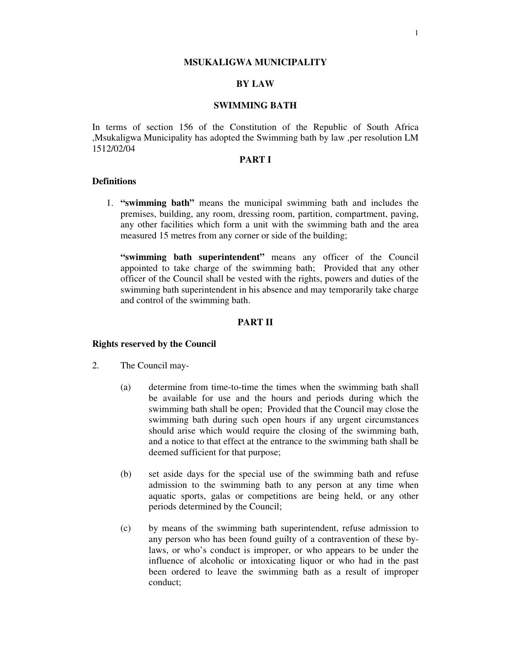#### **MSUKALIGWA MUNICIPALITY**

# **BY LAW**

### **SWIMMING BATH**

In terms of section 156 of the Constitution of the Republic of South Africa ,Msukaligwa Municipality has adopted the Swimming bath by law ,per resolution LM 1512/02/04

## **PART I**

### **Definitions**

1. **"swimming bath"** means the municipal swimming bath and includes the premises, building, any room, dressing room, partition, compartment, paving, any other facilities which form a unit with the swimming bath and the area measured 15 metres from any corner or side of the building;

**"swimming bath superintendent"** means any officer of the Council appointed to take charge of the swimming bath; Provided that any other officer of the Council shall be vested with the rights, powers and duties of the swimming bath superintendent in his absence and may temporarily take charge and control of the swimming bath.

## **PART II**

### **Rights reserved by the Council**

- 2. The Council may-
	- (a) determine from time-to-time the times when the swimming bath shall be available for use and the hours and periods during which the swimming bath shall be open; Provided that the Council may close the swimming bath during such open hours if any urgent circumstances should arise which would require the closing of the swimming bath, and a notice to that effect at the entrance to the swimming bath shall be deemed sufficient for that purpose;
	- (b) set aside days for the special use of the swimming bath and refuse admission to the swimming bath to any person at any time when aquatic sports, galas or competitions are being held, or any other periods determined by the Council;
	- (c) by means of the swimming bath superintendent, refuse admission to any person who has been found guilty of a contravention of these bylaws, or who's conduct is improper, or who appears to be under the influence of alcoholic or intoxicating liquor or who had in the past been ordered to leave the swimming bath as a result of improper conduct;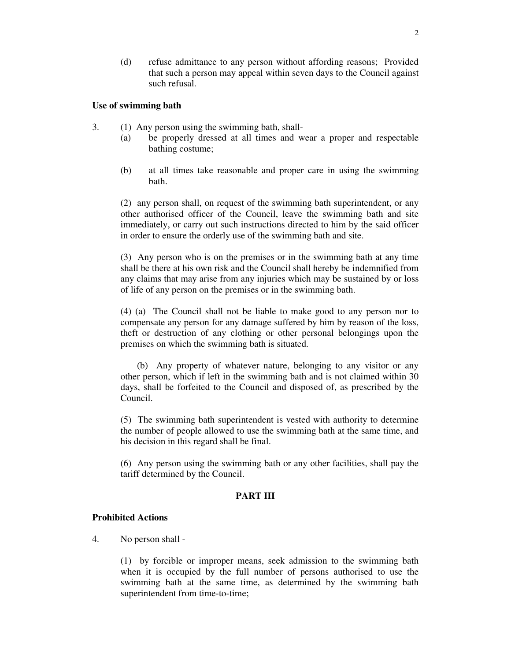(d) refuse admittance to any person without affording reasons; Provided that such a person may appeal within seven days to the Council against such refusal.

## **Use of swimming bath**

- 3. (1) Any person using the swimming bath, shall-
	- (a) be properly dressed at all times and wear a proper and respectable bathing costume;
	- (b) at all times take reasonable and proper care in using the swimming bath.

(2) any person shall, on request of the swimming bath superintendent, or any other authorised officer of the Council, leave the swimming bath and site immediately, or carry out such instructions directed to him by the said officer in order to ensure the orderly use of the swimming bath and site.

(3) Any person who is on the premises or in the swimming bath at any time shall be there at his own risk and the Council shall hereby be indemnified from any claims that may arise from any injuries which may be sustained by or loss of life of any person on the premises or in the swimming bath.

(4) (a) The Council shall not be liable to make good to any person nor to compensate any person for any damage suffered by him by reason of the loss, theft or destruction of any clothing or other personal belongings upon the premises on which the swimming bath is situated.

(b) Any property of whatever nature, belonging to any visitor or any other person, which if left in the swimming bath and is not claimed within 30 days, shall be forfeited to the Council and disposed of, as prescribed by the Council.

(5) The swimming bath superintendent is vested with authority to determine the number of people allowed to use the swimming bath at the same time, and his decision in this regard shall be final.

(6) Any person using the swimming bath or any other facilities, shall pay the tariff determined by the Council.

# **PART III**

## **Prohibited Actions**

4. No person shall -

(1) by forcible or improper means, seek admission to the swimming bath when it is occupied by the full number of persons authorised to use the swimming bath at the same time, as determined by the swimming bath superintendent from time-to-time;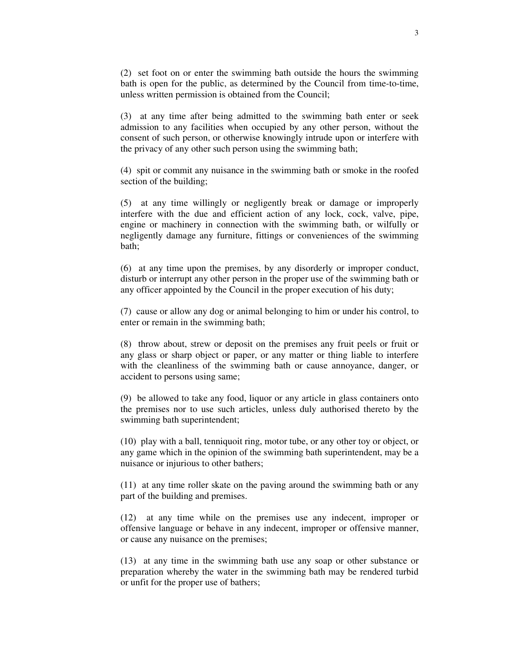(2) set foot on or enter the swimming bath outside the hours the swimming bath is open for the public, as determined by the Council from time-to-time, unless written permission is obtained from the Council;

(3) at any time after being admitted to the swimming bath enter or seek admission to any facilities when occupied by any other person, without the consent of such person, or otherwise knowingly intrude upon or interfere with the privacy of any other such person using the swimming bath;

(4) spit or commit any nuisance in the swimming bath or smoke in the roofed section of the building;

(5) at any time willingly or negligently break or damage or improperly interfere with the due and efficient action of any lock, cock, valve, pipe, engine or machinery in connection with the swimming bath, or wilfully or negligently damage any furniture, fittings or conveniences of the swimming bath;

(6) at any time upon the premises, by any disorderly or improper conduct, disturb or interrupt any other person in the proper use of the swimming bath or any officer appointed by the Council in the proper execution of his duty;

(7) cause or allow any dog or animal belonging to him or under his control, to enter or remain in the swimming bath;

(8) throw about, strew or deposit on the premises any fruit peels or fruit or any glass or sharp object or paper, or any matter or thing liable to interfere with the cleanliness of the swimming bath or cause annoyance, danger, or accident to persons using same;

(9) be allowed to take any food, liquor or any article in glass containers onto the premises nor to use such articles, unless duly authorised thereto by the swimming bath superintendent;

(10) play with a ball, tenniquoit ring, motor tube, or any other toy or object, or any game which in the opinion of the swimming bath superintendent, may be a nuisance or injurious to other bathers;

(11) at any time roller skate on the paving around the swimming bath or any part of the building and premises.

(12) at any time while on the premises use any indecent, improper or offensive language or behave in any indecent, improper or offensive manner, or cause any nuisance on the premises;

(13) at any time in the swimming bath use any soap or other substance or preparation whereby the water in the swimming bath may be rendered turbid or unfit for the proper use of bathers;